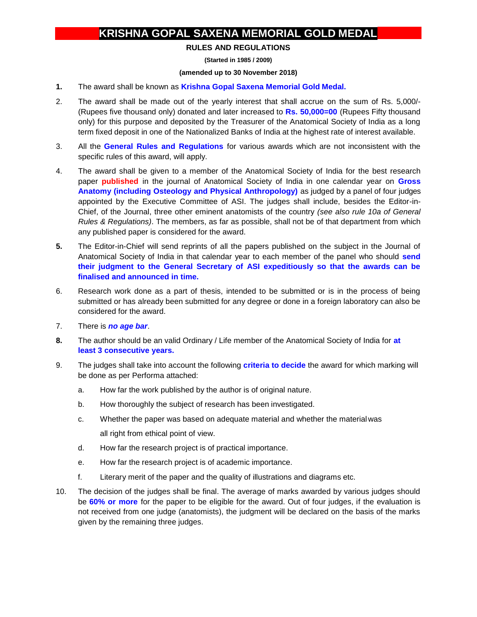## **KRISHNA GOPAL SAXENA MEMORIAL GOLD MEDAL**

## **RULES AND REGULATIONS**

**(Started in 1985 / 2009)**

## **(amended up to 30 November 2018)**

- **1.** The award shall be known as **Krishna Gopal Saxena Memorial Gold Medal.**
- 2. The award shall be made out of the yearly interest that shall accrue on the sum of Rs. 5,000/- (Rupees five thousand only) donated and later increased to **Rs. 50,000=00** (Rupees Fifty thousand only) for this purpose and deposited by the Treasurer of the Anatomical Society of India as a long term fixed deposit in one of the Nationalized Banks of India at the highest rate of interest available.
- 3. All the **General Rules and Regulations** for various awards which are not inconsistent with the specific rules of this award, will apply.
- 4. The award shall be given to a member of the Anatomical Society of India for the best research paper **published** in the journal of Anatomical Society of India in one calendar year on **Gross Anatomy (including Osteology and Physical Anthropology)** as judged by a panel of four judges appointed by the Executive Committee of ASI. The judges shall include, besides the Editor-in-Chief, of the Journal, three other eminent anatomists of the country *(see also rule 10a of General Rules & Regulations)*. The members, as far as possible, shall not be of that department from which any published paper is considered for the award.
- **5.** The Editor-in-Chief will send reprints of all the papers published on the subject in the Journal of Anatomical Society of India in that calendar year to each member of the panel who should **send their judgment to the General Secretary of ASI expeditiously so that the awards can be finalised and announced in time.**
- 6. Research work done as a part of thesis, intended to be submitted or is in the process of being submitted or has already been submitted for any degree or done in a foreign laboratory can also be considered for the award.
- 7. There is *no age bar*.
- **8.** The author should be an valid Ordinary / Life member of the Anatomical Society of India for **at least 3 consecutive years.**
- 9. The judges shall take into account the following **criteria to decide** the award for which marking will be done as per Performa attached:
	- a. How far the work published by the author is of original nature.
	- b. How thoroughly the subject of research has been investigated.
	- c. Whether the paper was based on adequate material and whether the materialwas all right from ethical point of view.
	- d. How far the research project is of practical importance.
	- e. How far the research project is of academic importance.
	- f. Literary merit of the paper and the quality of illustrations and diagrams etc.
- 10. The decision of the judges shall be final. The average of marks awarded by various judges should be **60% or more** for the paper to be eligible for the award. Out of four judges, if the evaluation is not received from one judge (anatomists), the judgment will be declared on the basis of the marks given by the remaining three judges.